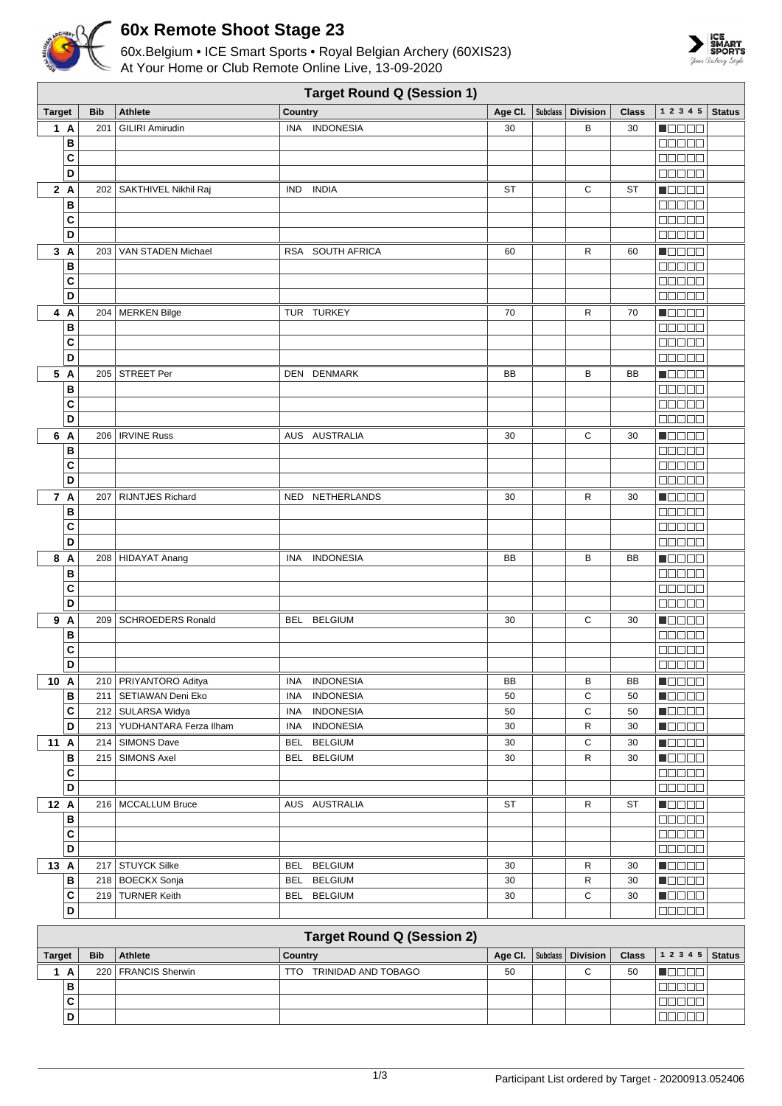

## **60x Remote Shoot Stage 23**

60x.Belgium • ICE Smart Sports • Royal Belgian Archery (60XIS23) At Your Home or Club Remote Online Live, 13-09-2020



| <b>Target Round Q (Session 1)</b> |                                   |                            |                                |                    |  |                 |              |                                                                      |               |
|-----------------------------------|-----------------------------------|----------------------------|--------------------------------|--------------------|--|-----------------|--------------|----------------------------------------------------------------------|---------------|
| <b>Target</b>                     | <b>Bib</b>                        | <b>Athlete</b>             | <b>Country</b>                 | Age CI.   Subclass |  | <b>Division</b> | <b>Class</b> | $1\ 2\ 3\ 4\ 5$                                                      | <b>Status</b> |
| 1 A                               | 201                               | <b>GILIRI Amirudin</b>     | INA INDONESIA                  | 30                 |  | В               | 30           | <b>NODOD</b>                                                         |               |
| В                                 |                                   |                            |                                |                    |  |                 |              | Mana a                                                               |               |
| C                                 |                                   |                            |                                |                    |  |                 |              | <b>BBBBB</b>                                                         |               |
| D                                 |                                   |                            |                                |                    |  |                 |              | $\Box$ $\Box$ $\Box$ $\Box$ $\Box$                                   |               |
| 2A                                |                                   | 202   SAKTHIVEL Nikhil Raj | IND INDIA                      | <b>ST</b>          |  | С               | <b>ST</b>    | <b>MODOO</b>                                                         |               |
| В                                 |                                   |                            |                                |                    |  |                 |              | anaan                                                                |               |
| C                                 |                                   |                            |                                |                    |  |                 |              | <b>00000</b>                                                         |               |
| D                                 |                                   |                            |                                |                    |  |                 |              | manaa                                                                |               |
| 3A                                |                                   | 203   VAN STADEN Michael   | RSA SOUTH AFRICA               | 60                 |  | R               | 60           | Maaaa                                                                |               |
| В                                 |                                   |                            |                                |                    |  |                 |              | 88888                                                                |               |
| C                                 |                                   |                            |                                |                    |  |                 |              | 88888                                                                |               |
| D                                 |                                   |                            |                                |                    |  |                 |              | 00000                                                                |               |
| 4 A                               |                                   | 204   MERKEN Bilge         | TUR TURKEY                     | 70                 |  | R               | 70           | Maaaa                                                                |               |
| В                                 |                                   |                            |                                |                    |  |                 |              | anaan<br>00000                                                       |               |
| C<br>D                            |                                   |                            |                                |                    |  |                 |              | an da a                                                              |               |
| 5 A                               |                                   | 205 STREET Per             | DEN DENMARK                    |                    |  |                 |              |                                                                      |               |
| B                                 |                                   |                            |                                | BB                 |  | в               | BB           | N O D O O<br>88888                                                   |               |
| C                                 |                                   |                            |                                |                    |  |                 |              | <b>BBBBB</b>                                                         |               |
| D                                 |                                   |                            |                                |                    |  |                 |              | $\Box$ $\Box$ $\Box$ $\Box$ $\Box$                                   |               |
| 6 A                               |                                   | 206   IRVINE Russ          | AUS AUSTRALIA                  | 30                 |  | С               | 30           | n da da                                                              |               |
| В                                 |                                   |                            |                                |                    |  |                 |              | $\Box \Box \Box \Box \Box$                                           |               |
| C                                 |                                   |                            |                                |                    |  |                 |              | 88888                                                                |               |
| D                                 |                                   |                            |                                |                    |  |                 |              | eeee                                                                 |               |
| 7 A                               |                                   | 207   RIJNTJES Richard     | NED NETHERLANDS                | 30                 |  | R               | 30           | Maaaa                                                                |               |
| B                                 |                                   |                            |                                |                    |  |                 |              | 00000                                                                |               |
| C                                 |                                   |                            |                                |                    |  |                 |              | <b>00000</b>                                                         |               |
| D                                 |                                   |                            |                                |                    |  |                 |              | 88888                                                                |               |
| 8 A                               |                                   | 208 HIDAYAT Anang          | <b>INA</b><br><b>INDONESIA</b> | BB                 |  | в               | BB           | Maaaa                                                                |               |
| B                                 |                                   |                            |                                |                    |  |                 |              | 80000                                                                |               |
| C                                 |                                   |                            |                                |                    |  |                 |              | Maaan                                                                |               |
| D                                 |                                   |                            |                                |                    |  |                 |              | an a sh                                                              |               |
| 9 A                               |                                   | 209   SCHROEDERS Ronald    | <b>BELGIUM</b><br>BEL          | 30                 |  | С               | 30           | n de e e                                                             |               |
| В                                 |                                   |                            |                                |                    |  |                 |              | 00000                                                                |               |
| C                                 |                                   |                            |                                |                    |  |                 |              | 80000                                                                |               |
| D                                 |                                   |                            |                                |                    |  |                 |              | anan                                                                 |               |
| 10 A                              |                                   | 210 PRIYANTORO Aditya      | <b>INDONESIA</b><br>INA        | BB                 |  | В               | BB           | $\blacksquare$                                                       |               |
| В                                 |                                   | 211   SETIAWAN Deni Eko    | <b>INDONESIA</b><br><b>INA</b> | 50                 |  | C               | 50           | n Belek                                                              |               |
| C                                 |                                   | 212 SULARSA Widya          | <b>INDONESIA</b><br>INA        | 50                 |  | С               | 50           | <b>N</b> OODO                                                        |               |
| D                                 |                                   | 213 YUDHANTARA Ferza Ilham | INA<br><b>INDONESIA</b>        | 30                 |  | R               | 30           | $\blacksquare$ $\square$ $\square$ $\square$                         |               |
| 11 A                              |                                   | 214 SIMONS Dave            | <b>BELGIUM</b><br><b>BEL</b>   | 30                 |  | С               | 30           | <b>Reces</b>                                                         |               |
| В<br>C                            |                                   | 215   SIMONS Axel          | <b>BELGIUM</b><br>BEL          | 30                 |  | R               | 30           | $\blacksquare$ $\blacksquare$ $\blacksquare$ $\blacksquare$<br>00000 |               |
| D                                 |                                   |                            |                                |                    |  |                 |              | 88888                                                                |               |
| 12 A                              |                                   | 216   MCCALLUM Bruce       | AUS AUSTRALIA                  | ST                 |  | R               | <b>ST</b>    | <b>H</b> oodo                                                        |               |
| В                                 |                                   |                            |                                |                    |  |                 |              | 88888                                                                |               |
| C                                 |                                   |                            |                                |                    |  |                 |              | 00000                                                                |               |
| D                                 |                                   |                            |                                |                    |  |                 |              | 00000                                                                |               |
| 13 A                              |                                   | 217 STUYCK Silke           | <b>BELGIUM</b><br>BEL          | 30                 |  | R               | 30           | <b>H</b> OOOO                                                        |               |
| B                                 |                                   | 218   BOECKX Sonja         | BEL<br><b>BELGIUM</b>          | 30                 |  | R               | 30           | <b>H</b> oooo                                                        |               |
| $\mathbf{C}$                      |                                   | 219 TURNER Keith           | BEL BELGIUM                    | 30                 |  | С               | 30           | $\blacksquare$ $\square$ $\blacksquare$ $\blacksquare$               |               |
| D                                 |                                   |                            |                                |                    |  |                 |              | 00000                                                                |               |
|                                   |                                   |                            |                                |                    |  |                 |              |                                                                      |               |
|                                   | <b>Target Round Q (Session 2)</b> |                            |                                |                    |  |                 |              |                                                                      |               |

|               | Target Round Q (Session 2) |            |                       |                            |    |  |        |    |                                                                  |  |
|---------------|----------------------------|------------|-----------------------|----------------------------|----|--|--------|----|------------------------------------------------------------------|--|
| <b>Target</b> |                            | <b>Bib</b> | Athlete               | Country                    |    |  |        |    | Age CI.   Subclass   Division   Class $\vert$ 1 2 3 4 5   Status |  |
|               | A                          |            | 220   FRANCIS Sherwin | TRINIDAD AND TOBAGO<br>TN. | 50 |  | $\sim$ | 50 |                                                                  |  |
|               | в                          |            |                       |                            |    |  |        |    |                                                                  |  |
|               | ັ                          |            |                       |                            |    |  |        |    |                                                                  |  |
|               |                            |            |                       |                            |    |  |        |    |                                                                  |  |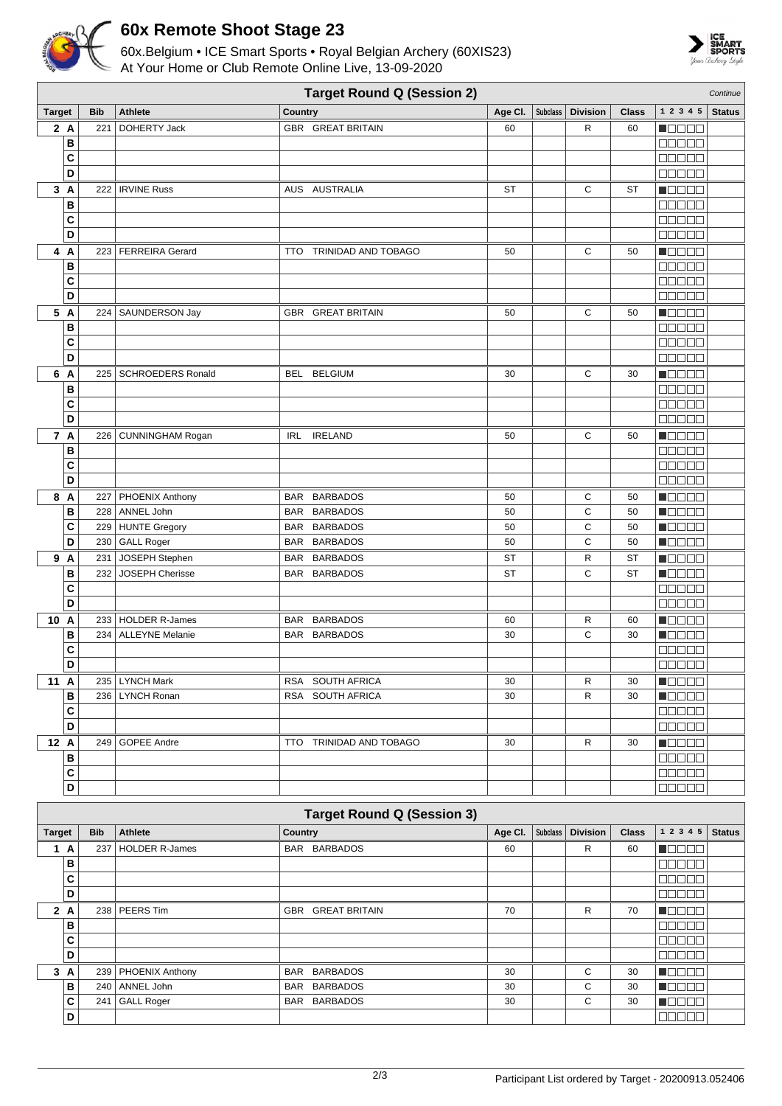

## **60x Remote Shoot Stage 23**

60x.Belgium • ICE Smart Sports • Royal Belgian Archery (60XIS23) At Your Home or Club Remote Online Live, 13-09-2020



|                         | <b>Target Round Q (Session 2)</b><br>Continue |                                     |                               |                    |  |                 |                 |                                                       |               |
|-------------------------|-----------------------------------------------|-------------------------------------|-------------------------------|--------------------|--|-----------------|-----------------|-------------------------------------------------------|---------------|
| <b>Target</b>           | <b>Bib</b>                                    | <b>Athlete</b>                      | Country                       | Age CI.   Subclass |  | <b>Division</b> | <b>Class</b>    | 1 2 3 4 5                                             | <b>Status</b> |
| 2A                      | 221                                           | DOHERTY Jack                        | <b>GBR GREAT BRITAIN</b>      | 60                 |  | R               | 60              | n de e e                                              |               |
| B                       |                                               |                                     |                               |                    |  |                 |                 | <b>00000</b>                                          |               |
| C                       |                                               |                                     |                               |                    |  |                 |                 | 00000                                                 |               |
| D                       |                                               |                                     |                               |                    |  |                 |                 | <b>00000</b>                                          |               |
| 3A                      |                                               | 222   IRVINE Russ                   | AUS AUSTRALIA                 | <b>ST</b>          |  | С               | <b>ST</b>       | <b>MODOO</b>                                          |               |
| В                       |                                               |                                     |                               |                    |  |                 |                 | 88888                                                 |               |
| C                       |                                               |                                     |                               |                    |  |                 |                 | <b>00000</b>                                          |               |
| D                       |                                               |                                     |                               |                    |  |                 |                 | ooooo                                                 |               |
| 4<br>A                  |                                               | 223   FERREIRA Gerard               | TRINIDAD AND TOBAGO<br>TTO.   | 50                 |  | С               | 50              | Maaaa                                                 |               |
| B                       |                                               |                                     |                               |                    |  |                 |                 | 88888                                                 |               |
| C                       |                                               |                                     |                               |                    |  |                 |                 | 80000                                                 |               |
| D                       |                                               |                                     |                               |                    |  |                 |                 | 00000                                                 |               |
| 5 A                     |                                               | 224   SAUNDERSON Jay                | <b>GBR GREAT BRITAIN</b>      | 50                 |  | C               | 50              | Maca Bill                                             |               |
| B                       |                                               |                                     |                               |                    |  |                 |                 | 00000                                                 |               |
| C                       |                                               |                                     |                               |                    |  |                 |                 | $\Box$ $\Box$ $\Box$ $\Box$ $\Box$                    |               |
| D                       |                                               |                                     |                               |                    |  |                 |                 | 00000                                                 |               |
| 6 A                     |                                               | 225   SCHROEDERS Ronald             | BEL BELGIUM                   | 30                 |  | С               | 30              | $\blacksquare$                                        |               |
| B                       |                                               |                                     |                               |                    |  |                 |                 | <b>BBBBB</b>                                          |               |
| C                       |                                               |                                     |                               |                    |  |                 |                 | manaa                                                 |               |
| D                       |                                               |                                     |                               |                    |  |                 |                 | anna                                                  |               |
| 7 A                     |                                               | 226   CUNNINGHAM Rogan              | IRL IRELAND                   | 50                 |  | С               | 50              | n da da                                               |               |
| В                       |                                               |                                     |                               |                    |  |                 |                 | 88888                                                 |               |
| C                       |                                               |                                     |                               |                    |  |                 |                 | 00000                                                 |               |
| D                       |                                               |                                     |                               |                    |  |                 |                 | <b>00000</b>                                          |               |
| 8 A                     |                                               | 227   PHOENIX Anthony               | <b>BARBADOS</b><br>BAR        | 50                 |  | С               | 50              | <b>MODOO</b>                                          |               |
| В                       |                                               | 228   ANNEL John                    | BAR BARBADOS                  | 50                 |  | C               | 50              | <b>MODOO</b>                                          |               |
| C<br>D                  |                                               | 229 HUNTE Gregory<br>230 GALL Roger | BAR BARBADOS<br>BAR BARBADOS  | 50<br>50           |  | C<br>C          | 50<br>50        | $\blacksquare$ $\square$ $\square$ $\square$<br>Maaaa |               |
| 9 A                     |                                               |                                     |                               |                    |  |                 |                 |                                                       |               |
| B                       | 231<br>232                                    | JOSEPH Stephen<br>JOSEPH Cherisse   | BAR BARBADOS<br>BAR BARBADOS  | ST<br><b>ST</b>    |  | R<br>C          | ST<br><b>ST</b> | MONDO<br>n je je je je                                |               |
| C                       |                                               |                                     |                               |                    |  |                 |                 | 88888                                                 |               |
| D                       |                                               |                                     |                               |                    |  |                 |                 | 00000                                                 |               |
| 10 A                    |                                               | 233   HOLDER R-James                | <b>BARBADOS</b><br><b>BAR</b> | 60                 |  | R               | 60              | n de e e                                              |               |
| B                       |                                               | 234   ALLEYNE Melanie               | BAR BARBADOS                  | 30                 |  | C               | 30              | Maaaa                                                 |               |
| C                       |                                               |                                     |                               |                    |  |                 |                 | anaan                                                 |               |
| D                       |                                               |                                     |                               |                    |  |                 |                 | 88888                                                 |               |
| 11 A                    |                                               | 235   LYNCH Mark                    | RSA SOUTH AFRICA              | 30                 |  | R               | 30              | <b>NOOOO</b>                                          |               |
| B                       |                                               | 236   LYNCH Ronan                   | RSA SOUTH AFRICA              | 30                 |  | R               | 30              | <b>M</b> OOOO                                         |               |
| C                       |                                               |                                     |                               |                    |  |                 |                 | <b>BOOOC</b>                                          |               |
| D                       |                                               |                                     |                               |                    |  |                 |                 | an na                                                 |               |
| 12 A                    |                                               | 249 GOPEE Andre                     | TTO TRINIDAD AND TOBAGO       | 30                 |  | R               | 30              | <b>Manae</b>                                          |               |
| В                       |                                               |                                     |                               |                    |  |                 |                 | <b>NODOO</b>                                          |               |
| $\mathbf{C}$            |                                               |                                     |                               |                    |  |                 |                 | <b>00000</b>                                          |               |
| $\overline{\mathsf{D}}$ |                                               |                                     |                               |                    |  |                 |                 | 00000                                                 |               |

|               | <b>Target Round Q (Session 3)</b> |            |                       |                               |         |                 |                 |              |                  |               |
|---------------|-----------------------------------|------------|-----------------------|-------------------------------|---------|-----------------|-----------------|--------------|------------------|---------------|
| <b>Target</b> |                                   | <b>Bib</b> | <b>Athlete</b>        | Country                       | Age Cl. | <b>Subclass</b> | <b>Division</b> | <b>Class</b> | 1 2 3 4 5        | <b>Status</b> |
|               | A                                 | 237        | <b>HOLDER R-James</b> | BAR BARBADOS                  | 60      |                 | R               | 60           | <b>REFERENCE</b> |               |
|               | в                                 |            |                       |                               |         |                 |                 |              | 3000             |               |
|               | C                                 |            |                       |                               |         |                 |                 |              | 3000             |               |
|               | D                                 |            |                       |                               |         |                 |                 |              | 30001            |               |
| $\mathbf{2}$  | A                                 | 238        | PEERS Tim             | <b>GBR GREAT BRITAIN</b>      | 70      |                 | R               | 70           | 700I             |               |
|               | в                                 |            |                       |                               |         |                 |                 |              | ורורר            |               |
|               | C                                 |            |                       |                               |         |                 |                 |              | المصط            |               |
|               | D                                 |            |                       |                               |         |                 |                 |              | nnni             |               |
| 3             | A                                 | 239        | PHOENIX Anthony       | <b>BARBADOS</b><br><b>BAR</b> | 30      |                 | C               | 30           | 700I             |               |
|               | в                                 | 240        | ANNEL John            | <b>BARBADOS</b><br><b>BAR</b> | 30      |                 | C               | 30           | الباليات         |               |
|               | C                                 | 241        | <b>GALL Roger</b>     | <b>BARBADOS</b><br><b>BAR</b> | 30      |                 | C               | 30           | 80 U U           |               |
|               | D                                 |            |                       |                               |         |                 |                 |              | 300a             |               |